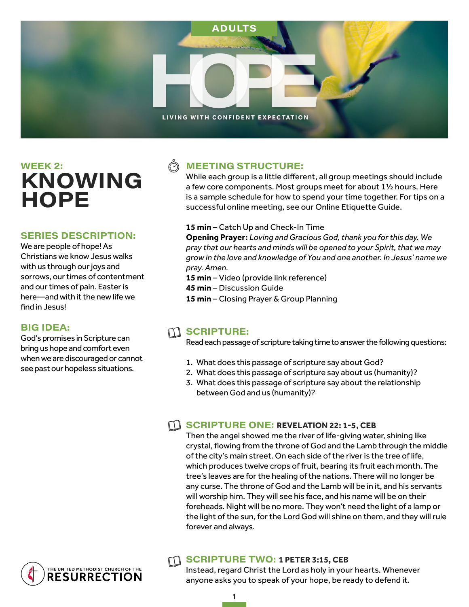

# $WEEK<sub>2</sub>:$ **KNOWING HOPE**

#### **SERIES DESCRIPTION:**

We are people of hope! As Christians we know Jesus walks with us through our joys and sorrows, our times of contentment and our times of pain. Easter is here—and with it the new life we find in Jesus!

#### **BIG IDEA:**

God's promises in Scripture can bring us hope and comfort even when we are discouraged or cannot see past our hopeless situations.

> THE UNITED METHODIST CHURCH OF THE **RESURRECTION**

## **MEETING STRUCTURE:**

While each group is a little different, all group meetings should include a few core components. Most groups meet for about 1½ hours. Here is a sample schedule for how to spend your time together. For tips on a successful online meeting, see our Online Etiquette Guide.

#### **15 min** – Catch Up and Check-In Time

**Opening Prayer:** *Loving and Gracious God, thank you for this day. We pray that our hearts and minds will be opened to your Spirit, that we may grow in the love and knowledge of You and one another. In Jesus' name we pray. Amen.* 

**15 min** – Video (provide link reference)

**45 min** – Discussion Guide

**15 min** – Closing Prayer & Group Planning

### $m$  scripture:

Read each passage of scripture taking time to answer the following questions:

- 1. What does this passage of scripture say about God?
- 2. What does this passage of scripture say about us (humanity)?
- 3. What does this passage of scripture say about the relationship between God and us (humanity)?

#### **SCRIPTURE ONE: REVELATION 22: 1-5, CEB**

Then the angel showed me the river of life-giving water, shining like crystal, flowing from the throne of God and the Lamb through the middle of the city's main street. On each side of the river is the tree of life, which produces twelve crops of fruit, bearing its fruit each month. The tree's leaves are for the healing of the nations. There will no longer be any curse. The throne of God and the Lamb will be in it, and his servants will worship him. They will see his face, and his name will be on their foreheads. Night will be no more. They won't need the light of a lamp or the light of the sun, for the Lord God will shine on them, and they will rule forever and always.

#### **SCRIPTURE TWO: 1 PETER 3:15, CEB**

Instead, regard Christ the Lord as holy in your hearts. Whenever anyone asks you to speak of your hope, be ready to defend it.